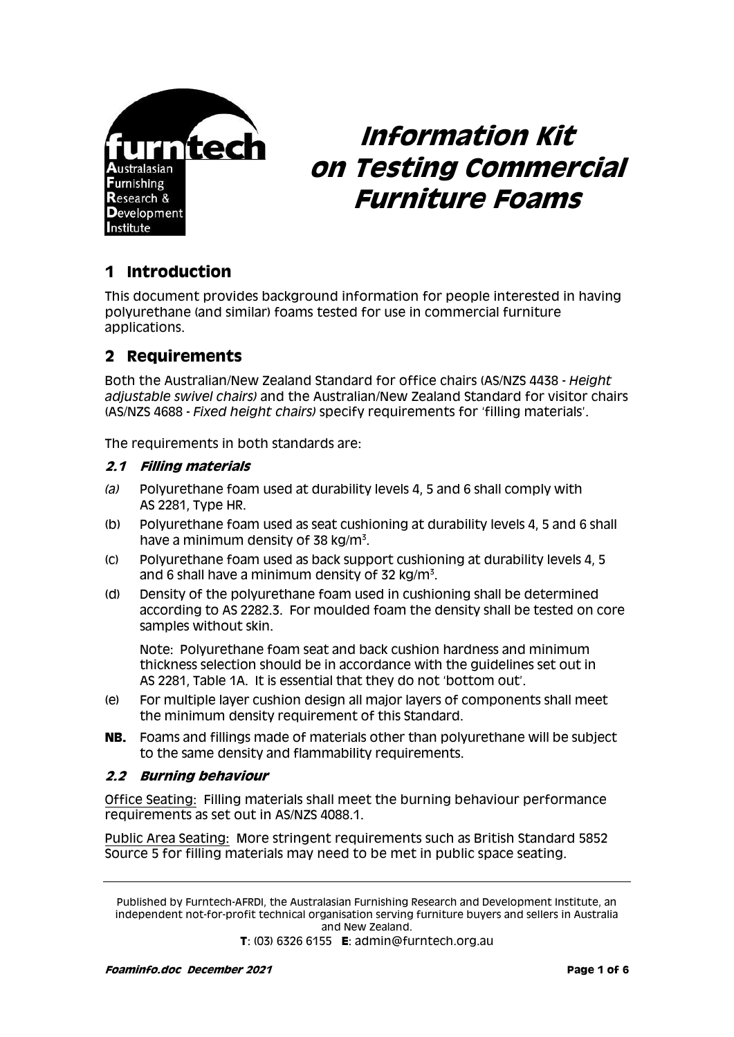

# **Information Kit on Testing Commercial Furniture Foams**

# **1 Introduction**

This document provides background information for people interested in having polyurethane (and similar) foams tested for use in commercial furniture applications.

## **2 Requirements**

Both the Australian/New Zealand Standard for office chairs (AS/NZS 4438 - *Height adjustable swivel chairs)* and the Australian/New Zealand Standard for visitor chairs (AS/NZS 4688 - *Fixed height chairs)* specify requirements for 'filling materials'.

The requirements in both standards are:

#### **2.1 Filling materials**

- *(a)* Polyurethane foam used at durability levels 4, 5 and 6 shall comply with AS 2281, Type HR.
- (b) Polyurethane foam used as seat cushioning at durability levels 4, 5 and 6 shall have a minimum density of 38 kg/m $^3$ .
- (c) Polyurethane foam used as back support cushioning at durability levels 4, 5 and 6 shall have a minimum density of 32 kg/m $^3\!$ .
- (d) Density of the polyurethane foam used in cushioning shall be determined according to AS 2282.3. For moulded foam the density shall be tested on core samples without skin.

Note: Polyurethane foam seat and back cushion hardness and minimum thickness selection should be in accordance with the guidelines set out in AS 2281, Table 1A. It is essential that they do not 'bottom out'.

- (e) For multiple layer cushion design all major layers of components shall meet the minimum density requirement of this Standard.
- **NB.** Foams and fillings made of materials other than polyurethane will be subject to the same density and flammability requirements.

#### **2.2 Burning behaviour**

Office Seating:Filling materials shall meet the burning behaviour performance requirements as set out in AS/NZS 4088.1.

Public Area Seating:More stringent requirements such as British Standard 5852 Source 5 for filling materials may need to be met in public space seating.

Published by Furntech-AFRDI, the Australasian Furnishing Research and Development Institute, an independent not-for-profit technical organisation serving furniture buyers and sellers in Australia and New Zealand.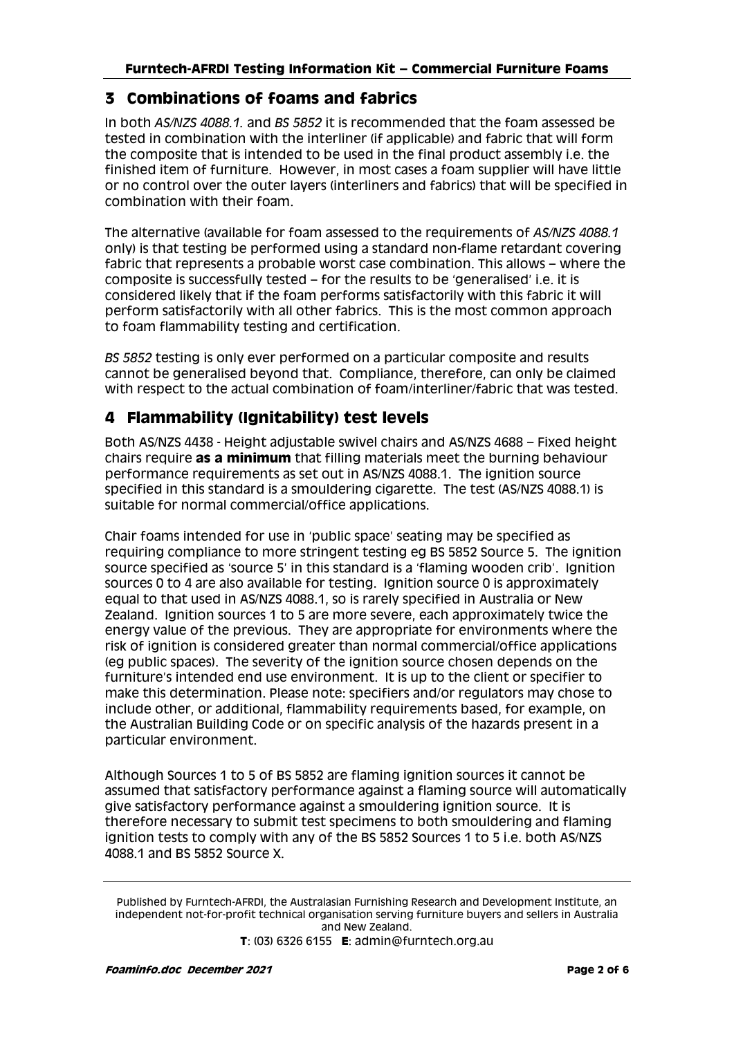## **3 Combinations of foams and fabrics**

In both *AS/NZS 4088.1.* and *BS 5852* it is recommended that the foam assessed be tested in combination with the interliner (if applicable) and fabric that will form the composite that is intended to be used in the final product assembly i.e. the finished item of furniture. However, in most cases a foam supplier will have little or no control over the outer layers (interliners and fabrics) that will be specified in combination with their foam.

The alternative (available for foam assessed to the requirements of *AS/NZS 4088.1*  only) is that testing be performed using a standard non-flame retardant covering fabric that represents a probable worst case combination. This allows – where the composite is successfully tested – for the results to be 'generalised' i.e. it is considered likely that if the foam performs satisfactorily with this fabric it will perform satisfactorily with all other fabrics. This is the most common approach to foam flammability testing and certification.

*BS 5852* testing is only ever performed on a particular composite and results cannot be generalised beyond that. Compliance, therefore, can only be claimed with respect to the actual combination of foam/interliner/fabric that was tested.

# **4 Flammability (Ignitability) test levels**

Both AS/NZS 4438 - Height adjustable swivel chairs and AS/NZS 4688 – Fixed height chairs require **as a minimum** that filling materials meet the burning behaviour performance requirements as set out in AS/NZS 4088.1. The ignition source specified in this standard is a smouldering cigarette. The test (AS/NZS 4088.1) is suitable for normal commercial/office applications.

Chair foams intended for use in 'public space' seating may be specified as requiring compliance to more stringent testing eg BS 5852 Source 5. The ignition source specified as 'source 5' in this standard is a 'flaming wooden crib'. Ignition sources 0 to 4 are also available for testing. Ignition source 0 is approximately equal to that used in AS/NZS 4088.1, so is rarely specified in Australia or New Zealand. Ignition sources 1 to 5 are more severe, each approximately twice the energy value of the previous. They are appropriate for environments where the risk of ignition is considered greater than normal commercial/office applications (eg public spaces). The severity of the ignition source chosen depends on the furniture's intended end use environment. It is up to the client or specifier to make this determination. Please note: specifiers and/or regulators may chose to include other, or additional, flammability requirements based, for example, on the Australian Building Code or on specific analysis of the hazards present in a particular environment.

Although Sources 1 to 5 of BS 5852 are flaming ignition sources it cannot be assumed that satisfactory performance against a flaming source will automatically give satisfactory performance against a smouldering ignition source. It is therefore necessary to submit test specimens to both smouldering and flaming ignition tests to comply with any of the BS 5852 Sources 1 to 5 i.e. both AS/NZS 4088.1 and BS 5852 Source X.

Published by Furntech-AFRDI, the Australasian Furnishing Research and Development Institute, an independent not-for-profit technical organisation serving furniture buyers and sellers in Australia and New Zealand.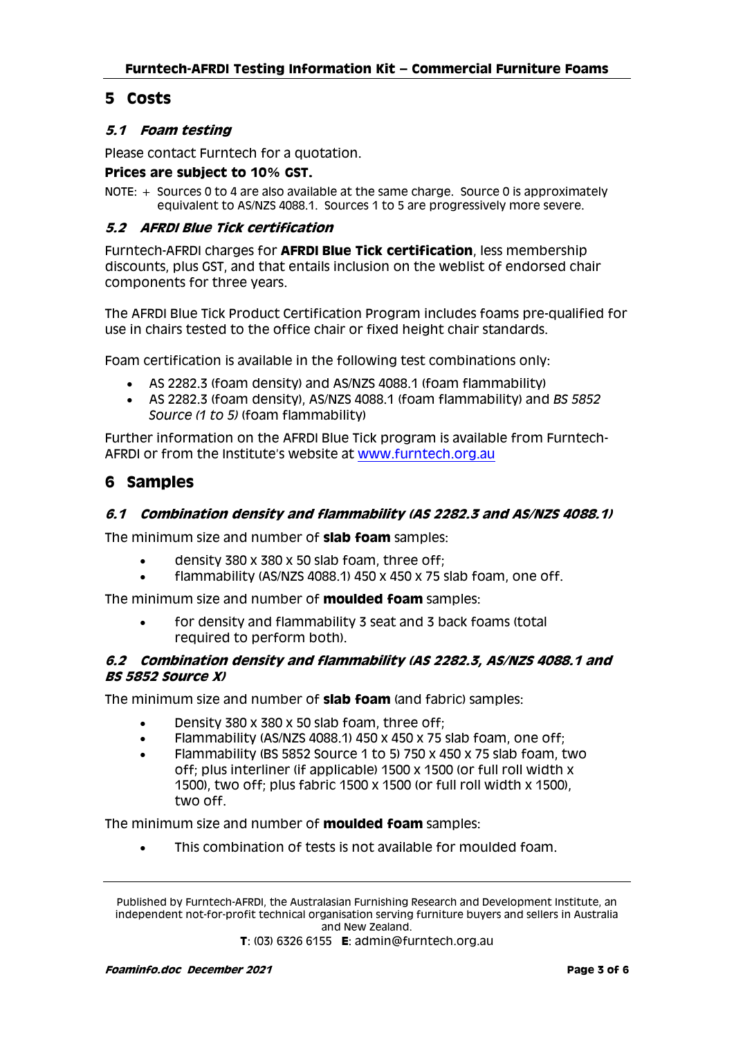## **5 Costs**

## **5.1 Foam testing**

Please contact Furntech for a quotation.

#### **Prices are subject to 10% GST.**

NOTE: + Sources 0 to 4 are also available at the same charge. Source 0 is approximately equivalent to AS/NZS 4088.1. Sources 1 to 5 are progressively more severe.

#### **5.2 AFRDI Blue Tick certification**

Furntech-AFRDI charges for **AFRDI Blue Tick certification**, less membership discounts, plus GST, and that entails inclusion on the weblist of endorsed chair components for three years.

The AFRDI Blue Tick Product Certification Program includes foams pre-qualified for use in chairs tested to the office chair or fixed height chair standards.

Foam certification is available in the following test combinations only:

- AS 2282.3 (foam density) and AS/NZS 4088.1 (foam flammability)
- AS 2282.3 (foam density), AS/NZS 4088.1 (foam flammability) and *BS 5852 Source (1 to 5)* (foam flammability)

Further information on the AFRDI Blue Tick program is available from Furntech-AFRDI or from the Institute's website at [www.furntech.org.au](http://www.furntech.org.au/) 

## **6 Samples**

## **6.1 Combination density and flammability (AS 2282.3 and AS/NZS 4088.1)**

The minimum size and number of **slab foam** samples:

- density 380 x 380 x 50 slab foam, three off;
- flammability (AS/NZS 4088.1) 450 x 450 x 75 slab foam, one off.

The minimum size and number of **moulded foam** samples:

 for density and flammability 3 seat and 3 back foams (total required to perform both).

#### **6.2 Combination density and flammability (AS 2282.3, AS/NZS 4088.1 and BS 5852 Source X)**

The minimum size and number of **slab foam** (and fabric) samples:

- Density 380 x 380 x 50 slab foam, three off;
- Flammability (AS/NZS 4088.1) 450 x 450 x 75 slab foam, one off;
- Flammability (BS 5852 Source 1 to 5) 750 x 450 x 75 slab foam, two off; plus interliner (if applicable) 1500 x 1500 (or full roll width x 1500), two off; plus fabric 1500 x 1500 (or full roll width x 1500), two off.

The minimum size and number of **moulded foam** samples:

This combination of tests is not available for moulded foam.

Published by Furntech-AFRDI, the Australasian Furnishing Research and Development Institute, an independent not-for-profit technical organisation serving furniture buyers and sellers in Australia and New Zealand.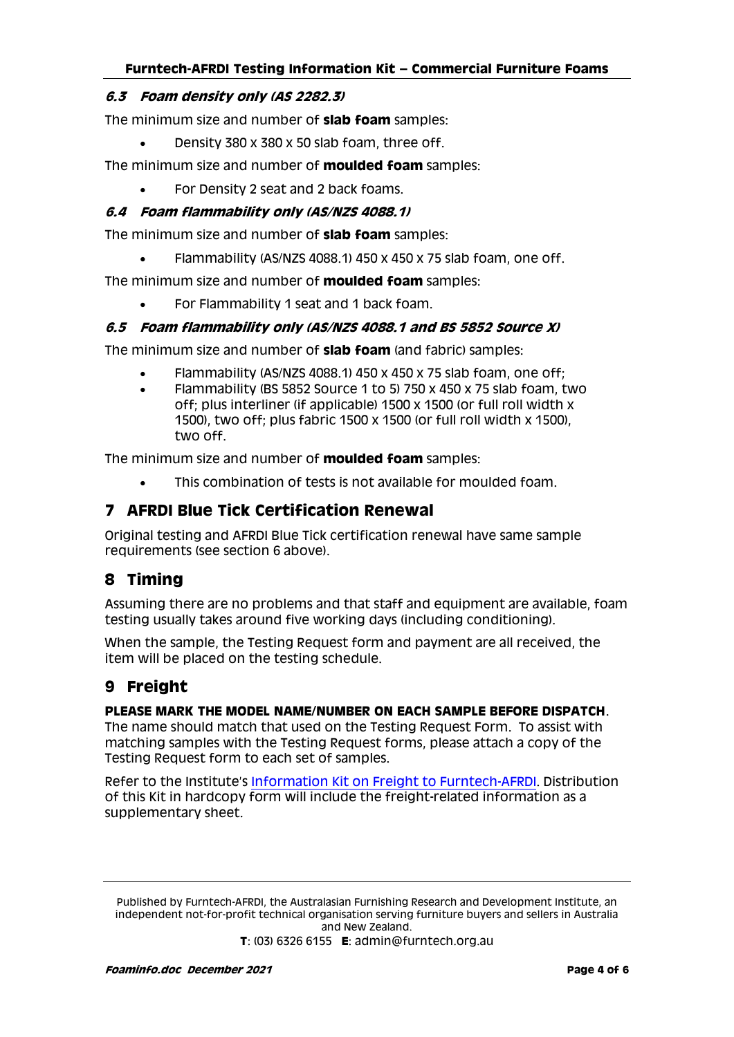## **Furntech-AFRDI Testing Information Kit – Commercial Furniture Foams**

#### **6.3 Foam density only (AS 2282.3)**

The minimum size and number of **slab foam** samples:

Density 380 x 380 x 50 slab foam, three off.

The minimum size and number of **moulded foam** samples:

For Density 2 seat and 2 back foams.

## **6.4 Foam flammability only (AS/NZS 4088.1)**

The minimum size and number of **slab foam** samples:

Flammability (AS/NZS 4088.1) 450 x 450 x 75 slab foam, one off.

The minimum size and number of **moulded foam** samples:

For Flammability 1 seat and 1 back foam.

#### **6.5 Foam flammability only (AS/NZS 4088.1 and BS 5852 Source X)**

The minimum size and number of **slab foam** (and fabric) samples:

- Flammability (AS/NZS 4088.1) 450 x 450 x 75 slab foam, one off;
- Flammability (BS 5852 Source 1 to 5) 750 x 450 x 75 slab foam, two off; plus interliner (if applicable) 1500 x 1500 (or full roll width x 1500), two off; plus fabric 1500 x 1500 (or full roll width x 1500), two off.

The minimum size and number of **moulded foam** samples:

This combination of tests is not available for moulded foam.

## **7 AFRDI Blue Tick Certification Renewal**

Original testing and AFRDI Blue Tick certification renewal have same sample requirements (see section 6 above).

## **8 Timing**

Assuming there are no problems and that staff and equipment are available, foam testing usually takes around five working days (including conditioning).

When the sample, the Testing Request form and payment are all received, the item will be placed on the testing schedule.

## **9 Freight**

#### **PLEASE MARK THE MODEL NAME/NUMBER ON EACH SAMPLE BEFORE DISPATCH**.

The name should match that used on the Testing Request Form. To assist with matching samples with the Testing Request forms, please attach a copy of the Testing Request form to each set of samples.

Refer to the Institute's [Information Kit on Freight to Furntech-AFRDI.](http://furntech.org.au/pdf/index.php?dir=Corporate/&file=FreightInfo.pdf) Distribution of this Kit in hardcopy form will include the freight-related information as a supplementary sheet.

Published by Furntech-AFRDI, the Australasian Furnishing Research and Development Institute, an independent not-for-profit technical organisation serving furniture buyers and sellers in Australia and New Zealand.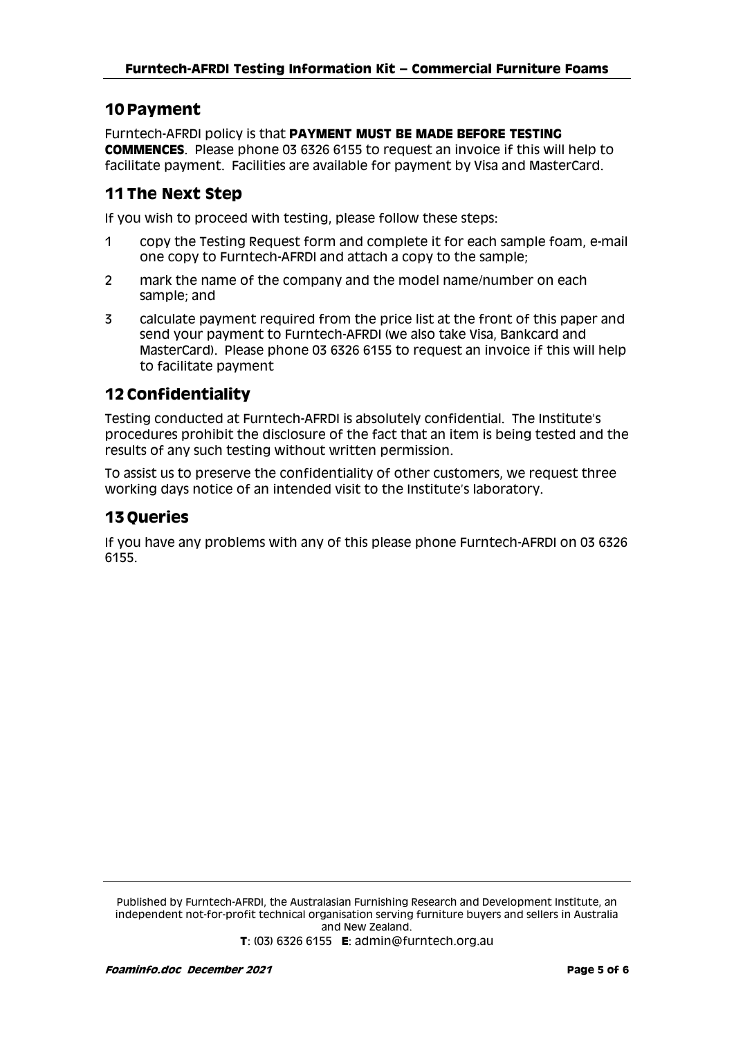## **10 Payment**

Furntech-AFRDI policy is that **PAYMENT MUST BE MADE BEFORE TESTING COMMENCES**. Please phone 03 6326 6155 to request an invoice if this will help to facilitate payment. Facilities are available for payment by Visa and MasterCard.

## **11 The Next Step**

If you wish to proceed with testing, please follow these steps:

- 1 copy the Testing Request form and complete it for each sample foam, e-mail one copy to Furntech-AFRDI and attach a copy to the sample;
- 2 mark the name of the company and the model name/number on each sample; and
- 3 calculate payment required from the price list at the front of this paper and send your payment to Furntech-AFRDI (we also take Visa, Bankcard and MasterCard). Please phone 03 6326 6155 to request an invoice if this will help to facilitate payment

## **12 Confidentiality**

Testing conducted at Furntech-AFRDI is absolutely confidential. The Institute's procedures prohibit the disclosure of the fact that an item is being tested and the results of any such testing without written permission.

To assist us to preserve the confidentiality of other customers, we request three working days notice of an intended visit to the Institute's laboratory.

## **13 Queries**

If you have any problems with any of this please phone Furntech-AFRDI on 03 6326 6155.

Published by Furntech-AFRDI, the Australasian Furnishing Research and Development Institute, an independent not-for-profit technical organisation serving furniture buyers and sellers in Australia and New Zealand.